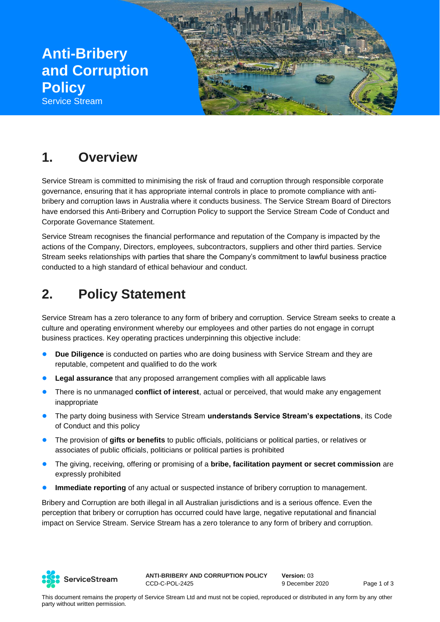

### **1. Overview**

Service Stream is committed to minimising the risk of fraud and corruption through responsible corporate governance, ensuring that it has appropriate internal controls in place to promote compliance with antibribery and corruption laws in Australia where it conducts business. The Service Stream Board of Directors have endorsed this Anti-Bribery and Corruption Policy to support the Service Stream Code of Conduct and Corporate Governance Statement.

Service Stream recognises the financial performance and reputation of the Company is impacted by the actions of the Company, Directors, employees, subcontractors, suppliers and other third parties. Service Stream seeks relationships with parties that share the Company's commitment to lawful business practice conducted to a high standard of ethical behaviour and conduct.

# **2. Policy Statement**

Service Stream has a zero tolerance to any form of bribery and corruption. Service Stream seeks to create a culture and operating environment whereby our employees and other parties do not engage in corrupt business practices. Key operating practices underpinning this objective include:

- **Due Diligence** is conducted on parties who are doing business with Service Stream and they are reputable, competent and qualified to do the work
- **Legal assurance** that any proposed arrangement complies with all applicable laws
- There is no unmanaged **conflict of interest**, actual or perceived, that would make any engagement inappropriate
- The party doing business with Service Stream **understands Service Stream's expectations**, its Code of Conduct and this policy
- The provision of **gifts or benefits** to public officials, politicians or political parties, or relatives or associates of public officials, politicians or political parties is prohibited
- The giving, receiving, offering or promising of a **bribe, facilitation payment or secret commission** are expressly prohibited
- **Immediate reporting** of any actual or suspected instance of bribery corruption to management.

Bribery and Corruption are both illegal in all Australian jurisdictions and is a serious offence. Even the perception that bribery or corruption has occurred could have large, negative reputational and financial impact on Service Stream. Service Stream has a zero tolerance to any form of bribery and corruption.

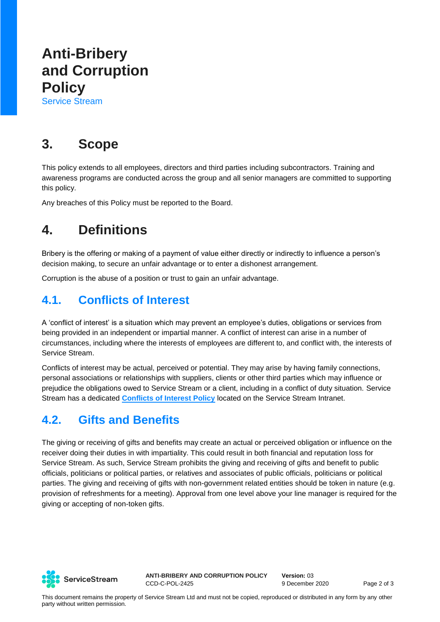# **Anti-Bribery and Corruption Policy**

Service Stream

## **3. Scope**

This policy extends to all employees, directors and third parties including subcontractors. Training and awareness programs are conducted across the group and all senior managers are committed to supporting this policy.

Any breaches of this Policy must be reported to the Board.

## **4. Definitions**

Bribery is the offering or making of a payment of value either directly or indirectly to influence a person's decision making, to secure an unfair advantage or to enter a dishonest arrangement.

Corruption is the abuse of a position or trust to gain an unfair advantage.

#### **4.1. Conflicts of Interest**

A 'conflict of interest' is a situation which may prevent an employee's duties, obligations or services from being provided in an independent or impartial manner. A conflict of interest can arise in a number of circumstances, including where the interests of employees are different to, and conflict with, the interests of Service Stream.

Conflicts of interest may be actual, perceived or potential. They may arise by having family connections, personal associations or relationships with suppliers, clients or other third parties which may influence or prejudice the obligations owed to Service Stream or a client, including in a conflict of duty situation. Service Stream has a dedicated **[Conflicts of Interest Policy](https://servicestrm.sharepoint.com/sites/Intranet/cs/Insurance-Group-Risk/INSURANCE%20GROUP%20RISK%20%20GOVERNANCE%20DOUCMENTS/GOVERNANCE/Policies/Conflicts%20of%20Interest%20Policy%202020.pdf?cid=79fbe222-06b8-43cf-a653-4ed714055862)** located on the Service Stream Intranet.

#### **4.2. Gifts and Benefits**

The giving or receiving of gifts and benefits may create an actual or perceived obligation or influence on the receiver doing their duties in with impartiality. This could result in both financial and reputation loss for Service Stream. As such, Service Stream prohibits the giving and receiving of gifts and benefit to public officials, politicians or political parties, or relatives and associates of public officials, politicians or political parties. The giving and receiving of gifts with non-government related entities should be token in nature (e.g. provision of refreshments for a meeting). Approval from one level above your line manager is required for the giving or accepting of non-token gifts.



**ANTI-BRIBERY AND CORRUPTION POLICY** CCD-C-POL-2425

**Version:** 03 9 December 2020 Page 2 of 3